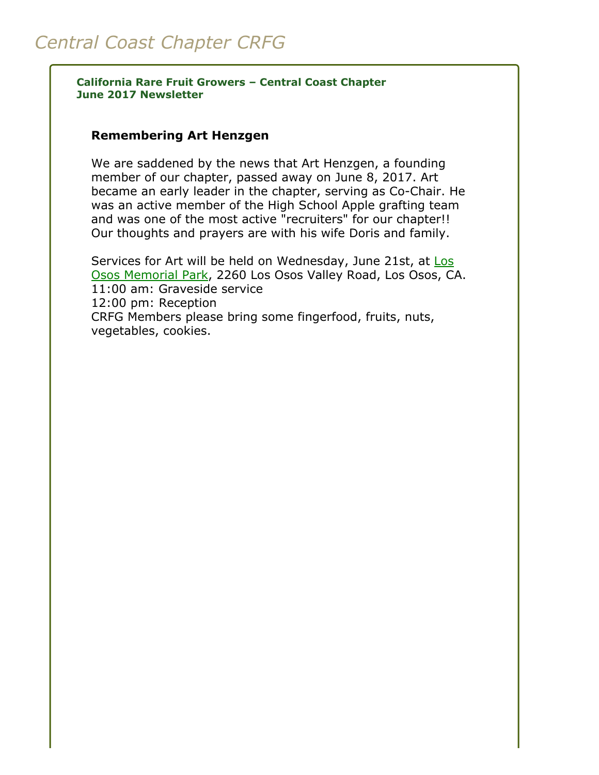**California Rare Fruit Growers – Central Coast Chapter June 2017 Newsletter**

## **Remembering Art Henzgen**

We are saddened by the news that Art Henzgen, a founding member of our chapter, passed away on June 8, 2017. Art became an early leader in the chapter, serving as Co-Chair. He was an active member of the High School Apple grafting team and was one of the most active "recruiters" for our chapter!! Our thoughts and prayers are with his wife Doris and family.

[Services for Art will be held on Wednesday, June 21st, at Los](https://www.google.com/maps/place/Los+Osos+Valley+Memorial+Park/@35.3112448,-120.8110668,2720m/data=!3m1!1e3!4m5!3m4!1s0x80ece4a09157415f:0x95a2a9422540517c!8m2!3d35.3035429!4d-120.8007549) Osos Memorial Park, 2260 Los Osos Valley Road, Los Osos, CA. 11:00 am: Graveside service 12:00 pm: Reception CRFG Members please bring some fingerfood, fruits, nuts, vegetables, cookies.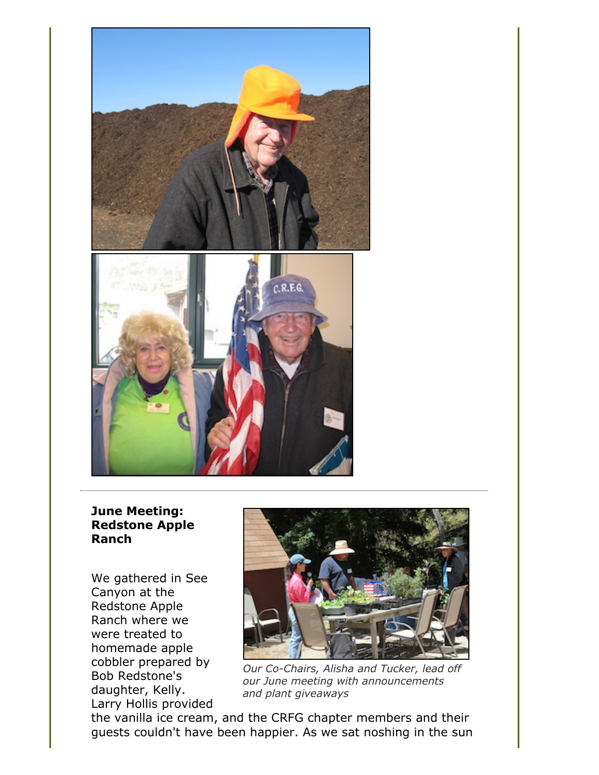

## **June Meeting: Redstone Apple Ranch**

We gathered in See Canyon at the Redstone Apple Ranch where we were treated to homemade apple cobbler prepared by Bob Redstone's daughter, Kelly. Larry Hollis provided



*Our Co-Chairs, Alisha and Tucker, lead off our June meeting with announcements and plant giveaways*

the vanilla ice cream, and the CRFG chapter members and their guests couldn't have been happier. As we sat noshing in the sun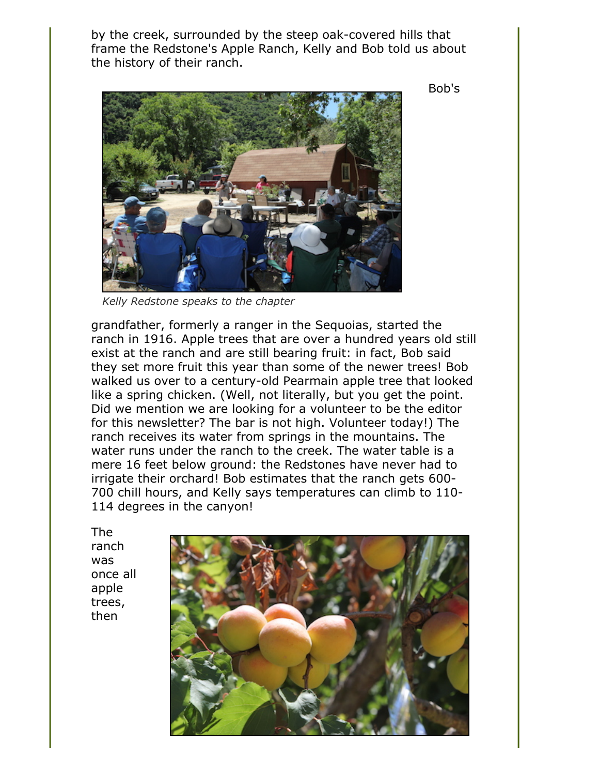by the creek, surrounded by the steep oak-covered hills that frame the Redstone's Apple Ranch, Kelly and Bob told us about the history of their ranch.



*Kelly Redstone speaks to the chapter*

grandfather, formerly a ranger in the Sequoias, started the ranch in 1916. Apple trees that are over a hundred years old still exist at the ranch and are still bearing fruit: in fact, Bob said they set more fruit this year than some of the newer trees! Bob walked us over to a century-old Pearmain apple tree that looked like a spring chicken. (Well, not literally, but you get the point. Did we mention we are looking for a volunteer to be the editor for this newsletter? The bar is not high. Volunteer today!) The ranch receives its water from springs in the mountains. The water runs under the ranch to the creek. The water table is a mere 16 feet below ground: the Redstones have never had to irrigate their orchard! Bob estimates that the ranch gets 600- 700 chill hours, and Kelly says temperatures can climb to 110- 114 degrees in the canyon!

The ranch was once all apple trees, then



Bob's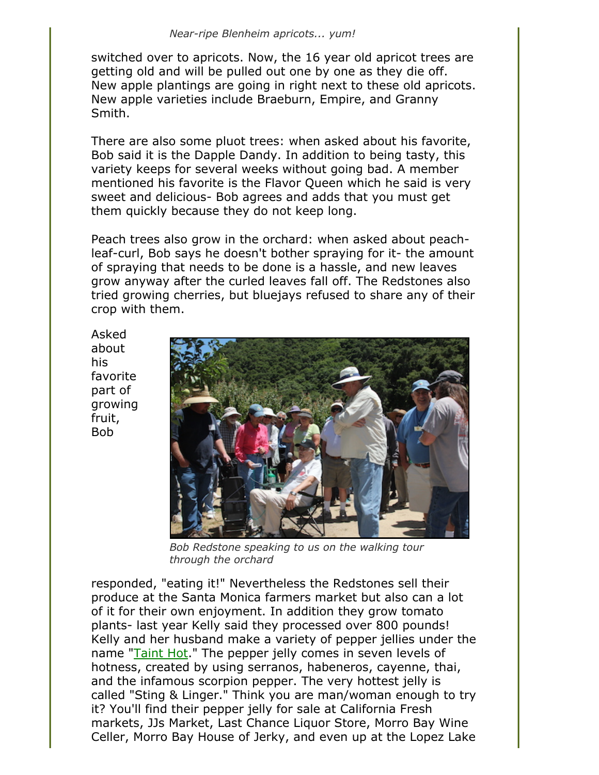switched over to apricots. Now, the 16 year old apricot trees are getting old and will be pulled out one by one as they die off. New apple plantings are going in right next to these old apricots. New apple varieties include Braeburn, Empire, and Granny Smith.

There are also some pluot trees: when asked about his favorite, Bob said it is the Dapple Dandy. In addition to being tasty, this variety keeps for several weeks without going bad. A member mentioned his favorite is the Flavor Queen which he said is very sweet and delicious- Bob agrees and adds that you must get them quickly because they do not keep long.

Peach trees also grow in the orchard: when asked about peachleaf-curl, Bob says he doesn't bother spraying for it- the amount of spraying that needs to be done is a hassle, and new leaves grow anyway after the curled leaves fall off. The Redstones also tried growing cherries, but bluejays refused to share any of their crop with them.

Asked about his favorite part of growing fruit, Bob



*Bob Redstone speaking to us on the walking tour through the orchard*

responded, "eating it!" Nevertheless the Redstones sell their produce at the Santa Monica farmers market but also can a lot of it for their own enjoyment. In addition they grow tomato plants- last year Kelly said they processed over 800 pounds! Kelly and her husband make a variety of pepper jellies under the name "[Taint Hot](https://www.facebook.com/Taint-Hot-Hot-Pepper-Jelly-148945808614321/)." The pepper jelly comes in seven levels of hotness, created by using serranos, habeneros, cayenne, thai, and the infamous scorpion pepper. The very hottest jelly is called "Sting & Linger." Think you are man/woman enough to try it? You'll find their pepper jelly for sale at California Fresh markets, JJs Market, Last Chance Liquor Store, Morro Bay Wine Celler, Morro Bay House of Jerky, and even up at the Lopez Lake